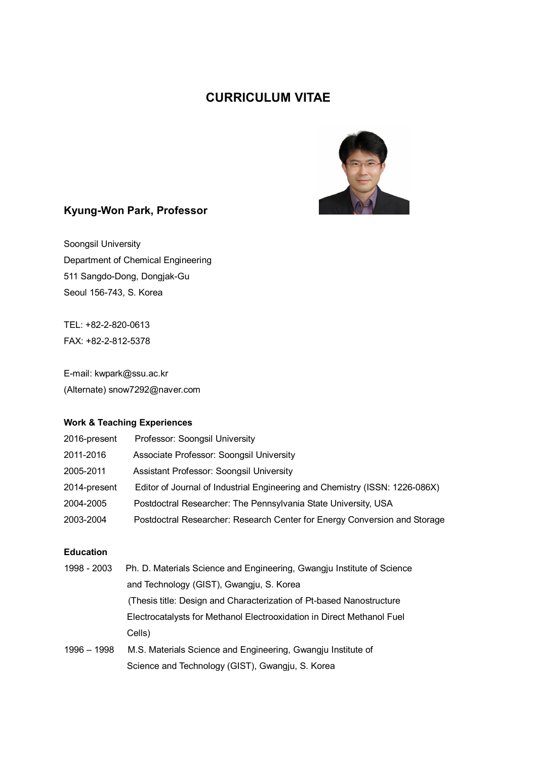# **CURRICULUM VITAE**



## **Kyung-Won Park, Professor**

Soongsil University Department of Chemical Engineering 511 Sangdo-Dong, Dongjak-Gu Seoul 156-743, S. Korea

TEL: +82-2-820-0613 FAX: +82-2-812-5378

E-mail: kwpark@ssu.ac.kr (Alternate) snow7292@naver.com

#### **Work & Teaching Experiences**

| 2016-present | Professor: Soongsil University                                              |
|--------------|-----------------------------------------------------------------------------|
| 2011-2016    | Associate Professor: Soongsil University                                    |
| 2005-2011    | Assistant Professor: Soongsil University                                    |
| 2014-present | Editor of Journal of Industrial Engineering and Chemistry (ISSN: 1226-086X) |
| 2004-2005    | Postdoctral Researcher: The Pennsylvania State University, USA              |
| 2003-2004    | Postdoctral Researcher: Research Center for Energy Conversion and Storage   |

#### **Education**

| 1998 - 2003 | Ph. D. Materials Science and Engineering, Gwangju Institute of Science |
|-------------|------------------------------------------------------------------------|
|             | and Technology (GIST), Gwangju, S. Korea                               |
|             | (Thesis title: Design and Characterization of Pt-based Nanostructure   |
|             | Electrocatalysts for Methanol Electrooxidation in Direct Methanol Fuel |
|             | Cells)                                                                 |
| 1996 - 1998 | M.S. Materials Science and Engineering, Gwangju Institute of           |
|             | Science and Technology (GIST), Gwangju, S. Korea                       |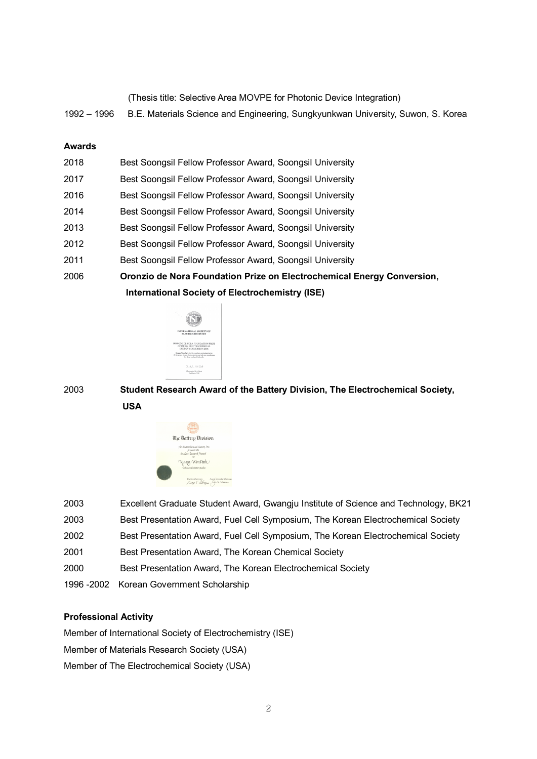|  | (Thesis title: Selective Area MOVPE for Photonic Device Integration) |  |  |  |
|--|----------------------------------------------------------------------|--|--|--|
|  |                                                                      |  |  |  |

– 1996 B.E. Materials Science and Engineering, Sungkyunkwan University, Suwon, S. Korea

#### **Awards**

|      | <b>International Society of Electrochemistry (ISE)</b>                 |
|------|------------------------------------------------------------------------|
| 2006 | Oronzio de Nora Foundation Prize on Electrochemical Energy Conversion, |
| 2011 | Best Soongsil Fellow Professor Award, Soongsil University              |
| 2012 | Best Soongsil Fellow Professor Award, Soongsil University              |
| 2013 | Best Soongsil Fellow Professor Award, Soongsil University              |
| 2014 | Best Soongsil Fellow Professor Award, Soongsil University              |
| 2016 | Best Soongsil Fellow Professor Award, Soongsil University              |
| 2017 | Best Soongsil Fellow Professor Award, Soongsil University              |
| 2018 | Best Soongsil Fellow Professor Award, Soongsil University              |



 **Student Research Award of the Battery Division, The Electrochemical Society, USA**



| 2003 | Excellent Graduate Student Award, Gwangju Institute of Science and Technology, BK21 |
|------|-------------------------------------------------------------------------------------|
| 2003 | Best Presentation Award, Fuel Cell Symposium, The Korean Electrochemical Society    |
| 2002 | Best Presentation Award, Fuel Cell Symposium, The Korean Electrochemical Society    |
| 2001 | Best Presentation Award, The Korean Chemical Society                                |
| 2000 | Best Presentation Award, The Korean Electrochemical Society                         |
|      | 1996 -2002 Korean Government Scholarship                                            |
|      |                                                                                     |

### **Professional Activity**

Member of International Society of Electrochemistry (ISE) Member of Materials Research Society (USA) Member of The Electrochemical Society (USA)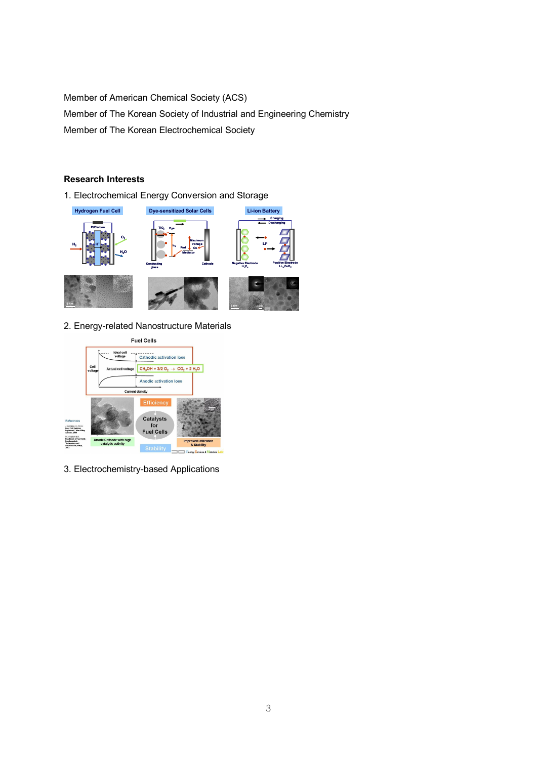Member of American Chemical Society (ACS) Member of The Korean Society of Industrial and Engineering Chemistry Member of The Korean Electrochemical Society

#### **Research Interests**

1. Electrochemical Energy Conversion and Storage



2. Energy-related Nanostructure Materials



3. Electrochemistry-based Applications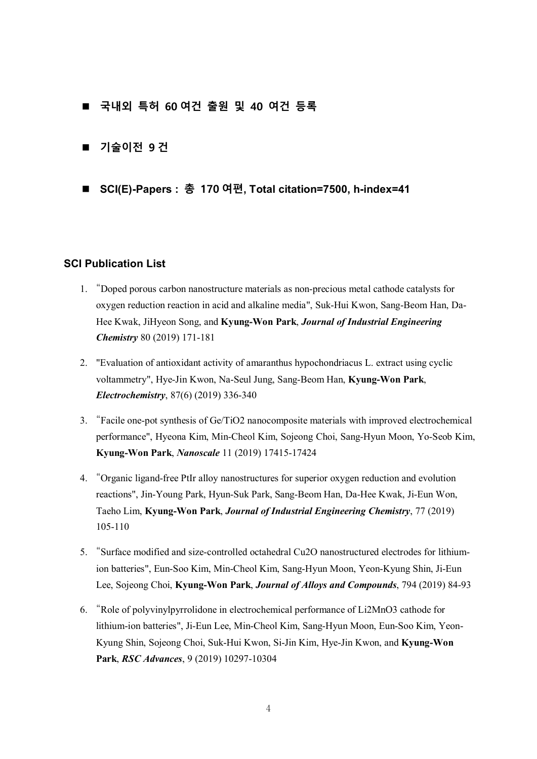- n **국내외 특허 60 여건 출원 및 40 여건 등록**
- 기술이전 9 건
- n **SCI(E)-Papers : 총 170 여편, Total citation=7500, h-index=41**

#### **SCI Publication List**

- 1. "Doped porous carbon nanostructure materials as non-precious metal cathode catalysts for oxygen reduction reaction in acid and alkaline media", Suk-Hui Kwon, Sang-Beom Han, Da-Hee Kwak, JiHyeon Song, and **Kyung-Won Park**, *Journal of Industrial Engineering Chemistry* 80 (2019) 171-181
- 2. "Evaluation of antioxidant activity of amaranthus hypochondriacus L. extract using cyclic voltammetry", Hye-Jin Kwon, Na-Seul Jung, Sang-Beom Han, **Kyung-Won Park**, *Electrochemistry*, 87(6) (2019) 336-340
- 3. "Facile one-pot synthesis of Ge/TiO2 nanocomposite materials with improved electrochemical performance", Hyeona Kim, Min-Cheol Kim, Sojeong Choi, Sang-Hyun Moon, Yo-Seob Kim, **Kyung-Won Park**, *Nanoscale* 11 (2019) 17415-17424
- 4. "Organic ligand-free PtIr alloy nanostructures for superior oxygen reduction and evolution reactions", Jin-Young Park, Hyun-Suk Park, Sang-Beom Han, Da-Hee Kwak, Ji-Eun Won, Taeho Lim, **Kyung-Won Park**, *Journal of Industrial Engineering Chemistry*, 77 (2019) 105-110
- 5. "Surface modified and size-controlled octahedral Cu2O nanostructured electrodes for lithiumion batteries", Eun-Soo Kim, Min-Cheol Kim, Sang-Hyun Moon, Yeon-Kyung Shin, Ji-Eun Lee, Sojeong Choi, **Kyung-Won Park**, *Journal of Alloys and Compounds*, 794 (2019) 84-93
- 6. "Role of polyvinylpyrrolidone in electrochemical performance of Li2MnO3 cathode for lithium-ion batteries", Ji-Eun Lee, Min-Cheol Kim, Sang-Hyun Moon, Eun-Soo Kim, Yeon-Kyung Shin, Sojeong Choi, Suk-Hui Kwon, Si-Jin Kim, Hye-Jin Kwon, and **Kyung-Won Park**, *RSC Advances*, 9 (2019) 10297-10304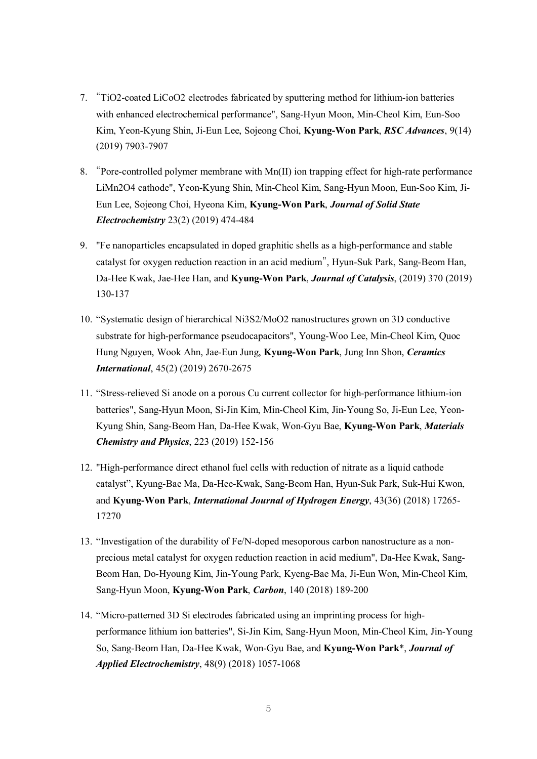- 7. "TiO2-coated LiCoO2 electrodes fabricated by sputtering method for lithium-ion batteries with enhanced electrochemical performance", Sang-Hyun Moon, Min-Cheol Kim, Eun-Soo Kim, Yeon-Kyung Shin, Ji-Eun Lee, Sojeong Choi, **Kyung-Won Park**, *RSC Advances*, 9(14) (2019) 7903-7907
- 8. "Pore-controlled polymer membrane with Mn(II) ion trapping effect for high-rate performance LiMn2O4 cathode", Yeon-Kyung Shin, Min-Cheol Kim, Sang-Hyun Moon, Eun-Soo Kim, Ji-Eun Lee, Sojeong Choi, Hyeona Kim, **Kyung-Won Park**, *Journal of Solid State Electrochemistry* 23(2) (2019) 474-484
- 9. "Fe nanoparticles encapsulated in doped graphitic shells as a high-performance and stable catalyst for oxygen reduction reaction in an acid medium", Hyun-Suk Park, Sang-Beom Han, Da-Hee Kwak, Jae-Hee Han, and **Kyung-Won Park**, *Journal of Catalysis*, (2019) 370 (2019) 130-137
- 10. "Systematic design of hierarchical Ni3S2/MoO2 nanostructures grown on 3D conductive substrate for high-performance pseudocapacitors", Young-Woo Lee, Min-Cheol Kim, Quoc Hung Nguyen, Wook Ahn, Jae-Eun Jung, **Kyung-Won Park**, Jung Inn Shon, *Ceramics International*, 45(2) (2019) 2670-2675
- 11. "Stress-relieved Si anode on a porous Cu current collector for high-performance lithium-ion batteries", Sang-Hyun Moon, Si-Jin Kim, Min-Cheol Kim, Jin-Young So, Ji-Eun Lee, Yeon-Kyung Shin, Sang-Beom Han, Da-Hee Kwak, Won-Gyu Bae, **Kyung-Won Park**, *Materials Chemistry and Physics*, 223 (2019) 152-156
- 12. "High-performance direct ethanol fuel cells with reduction of nitrate as a liquid cathode catalyst", Kyung-Bae Ma, Da-Hee-Kwak, Sang-Beom Han, Hyun-Suk Park, Suk-Hui Kwon, and **Kyung-Won Park**, *International Journal of Hydrogen Energy*, 43(36) (2018) 17265- 17270
- 13. "Investigation of the durability of Fe/N-doped mesoporous carbon nanostructure as a nonprecious metal catalyst for oxygen reduction reaction in acid medium", Da-Hee Kwak, Sang-Beom Han, Do-Hyoung Kim, Jin-Young Park, Kyeng-Bae Ma, Ji-Eun Won, Min-Cheol Kim, Sang-Hyun Moon, **Kyung-Won Park**, *Carbon*, 140 (2018) 189-200
- 14. "Micro-patterned 3D Si electrodes fabricated using an imprinting process for highperformance lithium ion batteries", Si-Jin Kim, Sang-Hyun Moon, Min-Cheol Kim, Jin-Young So, Sang-Beom Han, Da-Hee Kwak, Won-Gyu Bae, and **Kyung-Won Park**\*, *Journal of Applied Electrochemistry*, 48(9) (2018) 1057-1068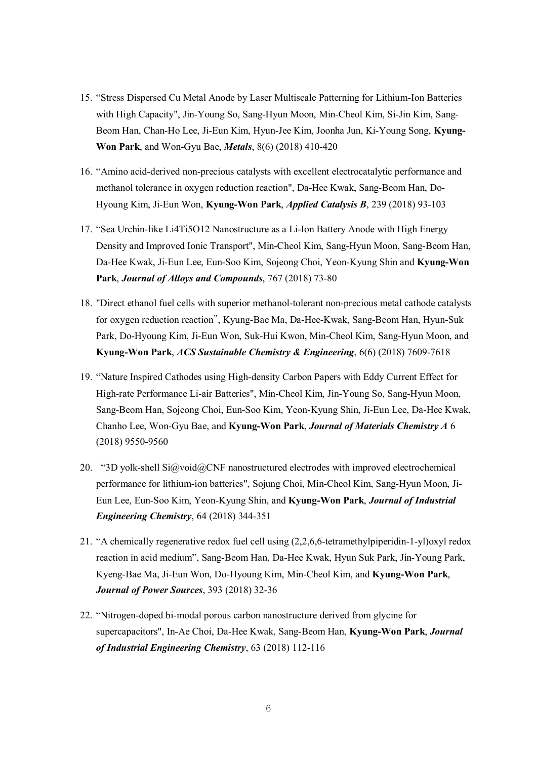- 15. "Stress Dispersed Cu Metal Anode by Laser Multiscale Patterning for Lithium-Ion Batteries with High Capacity", Jin-Young So, Sang-Hyun Moon, Min-Cheol Kim, Si-Jin Kim, Sang-Beom Han, Chan-Ho Lee, Ji-Eun Kim, Hyun-Jee Kim, Joonha Jun, Ki-Young Song, **Kyung-Won Park**, and Won-Gyu Bae, *Metals*, 8(6) (2018) 410-420
- 16. "Amino acid-derived non-precious catalysts with excellent electrocatalytic performance and methanol tolerance in oxygen reduction reaction", Da-Hee Kwak, Sang-Beom Han, Do-Hyoung Kim, Ji-Eun Won, **Kyung-Won Park**, *Applied Catalysis B*, 239 (2018) 93-103
- 17. "Sea Urchin-like Li4Ti5O12 Nanostructure as a Li-Ion Battery Anode with High Energy Density and Improved Ionic Transport", Min-Cheol Kim, Sang-Hyun Moon, Sang-Beom Han, Da-Hee Kwak, Ji-Eun Lee, Eun-Soo Kim, Sojeong Choi, Yeon-Kyung Shin and **Kyung-Won Park**, *Journal of Alloys and Compounds*, 767 (2018) 73-80
- 18. "Direct ethanol fuel cells with superior methanol-tolerant non-precious metal cathode catalysts for oxygen reduction reaction", Kyung-Bae Ma, Da-Hee-Kwak, Sang-Beom Han, Hyun-Suk Park, Do-Hyoung Kim, Ji-Eun Won, Suk-Hui Kwon, Min-Cheol Kim, Sang-Hyun Moon, and **Kyung-Won Park**, *ACS Sustainable Chemistry & Engineering*, 6(6) (2018) 7609-7618
- 19. "Nature Inspired Cathodes using High-density Carbon Papers with Eddy Current Effect for High-rate Performance Li-air Batteries", Min-Cheol Kim, Jin-Young So, Sang-Hyun Moon, Sang-Beom Han, Sojeong Choi, Eun-Soo Kim, Yeon-Kyung Shin, Ji-Eun Lee, Da-Hee Kwak, Chanho Lee, Won-Gyu Bae, and **Kyung-Won Park**, *Journal of Materials Chemistry A* 6 (2018) 9550-9560
- 20. "3D yolk-shell  $Si@void@CNF$  nanostructured electrodes with improved electrochemical performance for lithium-ion batteries", Sojung Choi, Min-Cheol Kim, Sang-Hyun Moon, Ji-Eun Lee, Eun-Soo Kim, Yeon-Kyung Shin, and **Kyung-Won Park**, *Journal of Industrial Engineering Chemistry*, 64 (2018) 344-351
- 21. "A chemically regenerative redox fuel cell using (2,2,6,6-tetramethylpiperidin-1-yl)oxyl redox reaction in acid medium", Sang-Beom Han, Da-Hee Kwak, Hyun Suk Park, Jin-Young Park, Kyeng-Bae Ma, Ji-Eun Won, Do-Hyoung Kim, Min-Cheol Kim, and **Kyung-Won Park**, *Journal of Power Sources*, 393 (2018) 32-36
- 22. "Nitrogen-doped bi-modal porous carbon nanostructure derived from glycine for supercapacitors", In-Ae Choi, Da-Hee Kwak, Sang-Beom Han, **Kyung-Won Park**, *Journal of Industrial Engineering Chemistry*, 63 (2018) 112-116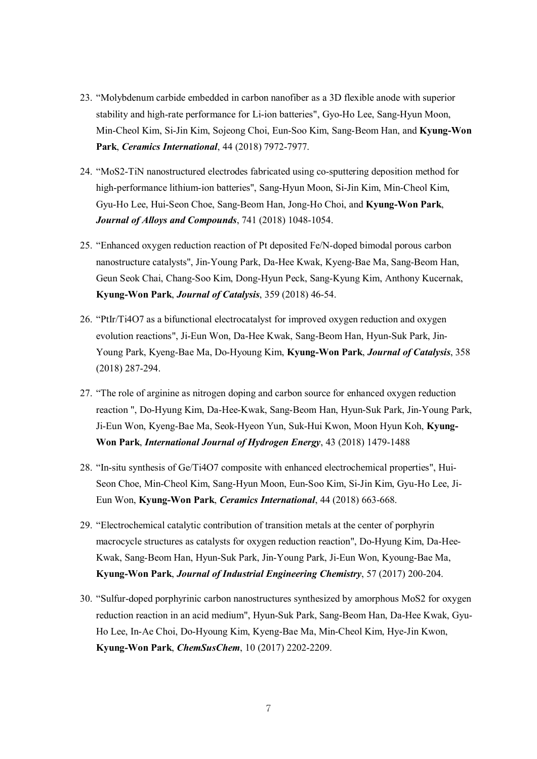- 23. "Molybdenum carbide embedded in carbon nanofiber as a 3D flexible anode with superior stability and high-rate performance for Li-ion batteries", Gyo-Ho Lee, Sang-Hyun Moon, Min-Cheol Kim, Si-Jin Kim, Sojeong Choi, Eun-Soo Kim, Sang-Beom Han, and **Kyung-Won Park**, *Ceramics International*, 44 (2018) 7972-7977.
- 24. "MoS2-TiN nanostructured electrodes fabricated using co-sputtering deposition method for high-performance lithium-ion batteries", Sang-Hyun Moon, Si-Jin Kim, Min-Cheol Kim, Gyu-Ho Lee, Hui-Seon Choe, Sang-Beom Han, Jong-Ho Choi, and **Kyung-Won Park**, *Journal of Alloys and Compounds*, 741 (2018) 1048-1054.
- 25. "Enhanced oxygen reduction reaction of Pt deposited Fe/N-doped bimodal porous carbon nanostructure catalysts", Jin-Young Park, Da-Hee Kwak, Kyeng-Bae Ma, Sang-Beom Han, Geun Seok Chai, Chang-Soo Kim, Dong-Hyun Peck, Sang-Kyung Kim, Anthony Kucernak, **Kyung-Won Park**, *Journal of Catalysis*, 359 (2018) 46-54.
- 26. "PtIr/Ti4O7 as a bifunctional electrocatalyst for improved oxygen reduction and oxygen evolution reactions", Ji-Eun Won, Da-Hee Kwak, Sang-Beom Han, Hyun-Suk Park, Jin-Young Park, Kyeng-Bae Ma, Do-Hyoung Kim, **Kyung-Won Park**, *Journal of Catalysis*, 358 (2018) 287-294.
- 27. "The role of arginine as nitrogen doping and carbon source for enhanced oxygen reduction reaction ", Do-Hyung Kim, Da-Hee-Kwak, Sang-Beom Han, Hyun-Suk Park, Jin-Young Park, Ji-Eun Won, Kyeng-Bae Ma, Seok-Hyeon Yun, Suk-Hui Kwon, Moon Hyun Koh, **Kyung-Won Park**, *International Journal of Hydrogen Energy*, 43 (2018) 1479-1488
- 28. "In-situ synthesis of Ge/Ti4O7 composite with enhanced electrochemical properties", Hui-Seon Choe, Min-Cheol Kim, Sang-Hyun Moon, Eun-Soo Kim, Si-Jin Kim, Gyu-Ho Lee, Ji-Eun Won, **Kyung-Won Park**, *Ceramics International*, 44 (2018) 663-668.
- 29. "Electrochemical catalytic contribution of transition metals at the center of porphyrin macrocycle structures as catalysts for oxygen reduction reaction", Do-Hyung Kim, Da-Hee-Kwak, Sang-Beom Han, Hyun-Suk Park, Jin-Young Park, Ji-Eun Won, Kyoung-Bae Ma, **Kyung-Won Park**, *Journal of Industrial Engineering Chemistry*, 57 (2017) 200-204.
- 30. "Sulfur-doped porphyrinic carbon nanostructures synthesized by amorphous MoS2 for oxygen reduction reaction in an acid medium", Hyun-Suk Park, Sang-Beom Han, Da-Hee Kwak, Gyu-Ho Lee, In-Ae Choi, Do-Hyoung Kim, Kyeng-Bae Ma, Min-Cheol Kim, Hye-Jin Kwon, **Kyung-Won Park**, *ChemSusChem*, 10 (2017) 2202-2209.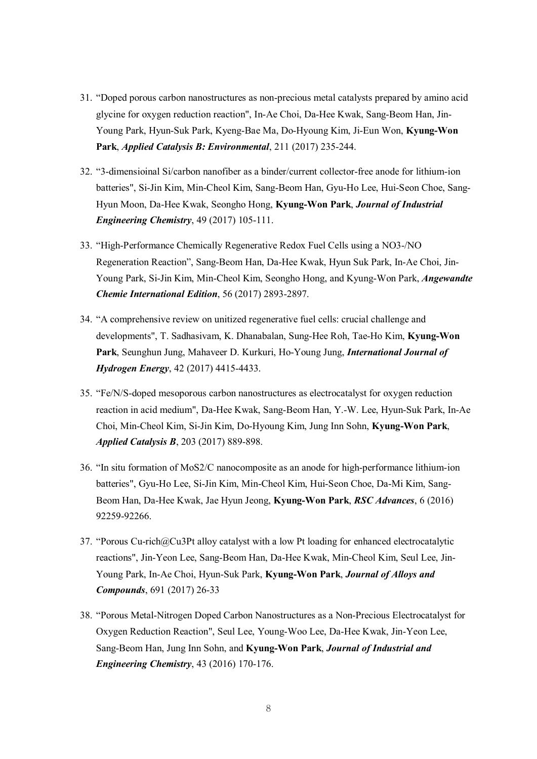- 31. "Doped porous carbon nanostructures as non-precious metal catalysts prepared by amino acid glycine for oxygen reduction reaction", In-Ae Choi, Da-Hee Kwak, Sang-Beom Han, Jin-Young Park, Hyun-Suk Park, Kyeng-Bae Ma, Do-Hyoung Kim, Ji-Eun Won, **Kyung-Won Park**, *Applied Catalysis B: Environmental*, 211 (2017) 235-244.
- 32. "3-dimensioinal Si/carbon nanofiber as a binder/current collector-free anode for lithium-ion batteries", Si-Jin Kim, Min-Cheol Kim, Sang-Beom Han, Gyu-Ho Lee, Hui-Seon Choe, Sang-Hyun Moon, Da-Hee Kwak, Seongho Hong, **Kyung-Won Park**, *Journal of Industrial Engineering Chemistry*, 49 (2017) 105-111.
- 33. "High-Performance Chemically Regenerative Redox Fuel Cells using a NO3-/NO Regeneration Reaction", Sang-Beom Han, Da-Hee Kwak, Hyun Suk Park, In-Ae Choi, Jin-Young Park, Si-Jin Kim, Min-Cheol Kim, Seongho Hong, and Kyung-Won Park, *Angewandte Chemie International Edition*, 56 (2017) 2893-2897.
- 34. "A comprehensive review on unitized regenerative fuel cells: crucial challenge and developments", T. Sadhasivam, K. Dhanabalan, Sung-Hee Roh, Tae-Ho Kim, **Kyung-Won Park**, Seunghun Jung, Mahaveer D. Kurkuri, Ho-Young Jung, *International Journal of Hydrogen Energy*, 42 (2017) 4415-4433.
- 35. "Fe/N/S-doped mesoporous carbon nanostructures as electrocatalyst for oxygen reduction reaction in acid medium", Da-Hee Kwak, Sang-Beom Han, Y.-W. Lee, Hyun-Suk Park, In-Ae Choi, Min-Cheol Kim, Si-Jin Kim, Do-Hyoung Kim, Jung Inn Sohn, **Kyung-Won Park**, *Applied Catalysis B*, 203 (2017) 889-898.
- 36. "In situ formation of MoS2/C nanocomposite as an anode for high-performance lithium-ion batteries", Gyu-Ho Lee, Si-Jin Kim, Min-Cheol Kim, Hui-Seon Choe, Da-Mi Kim, Sang-Beom Han, Da-Hee Kwak, Jae Hyun Jeong, **Kyung-Won Park**, *RSC Advances*, 6 (2016) 92259-92266.
- 37. "Porous Cu-rich@Cu3Pt alloy catalyst with a low Pt loading for enhanced electrocatalytic reactions", Jin-Yeon Lee, Sang-Beom Han, Da-Hee Kwak, Min-Cheol Kim, Seul Lee, Jin-Young Park, In-Ae Choi, Hyun-Suk Park, **Kyung-Won Park**, *Journal of Alloys and Compounds*, 691 (2017) 26-33
- 38. "Porous Metal-Nitrogen Doped Carbon Nanostructures as a Non-Precious Electrocatalyst for Oxygen Reduction Reaction", Seul Lee, Young-Woo Lee, Da-Hee Kwak, Jin-Yeon Lee, Sang-Beom Han, Jung Inn Sohn, and **Kyung-Won Park**, *Journal of Industrial and Engineering Chemistry*, 43 (2016) 170-176.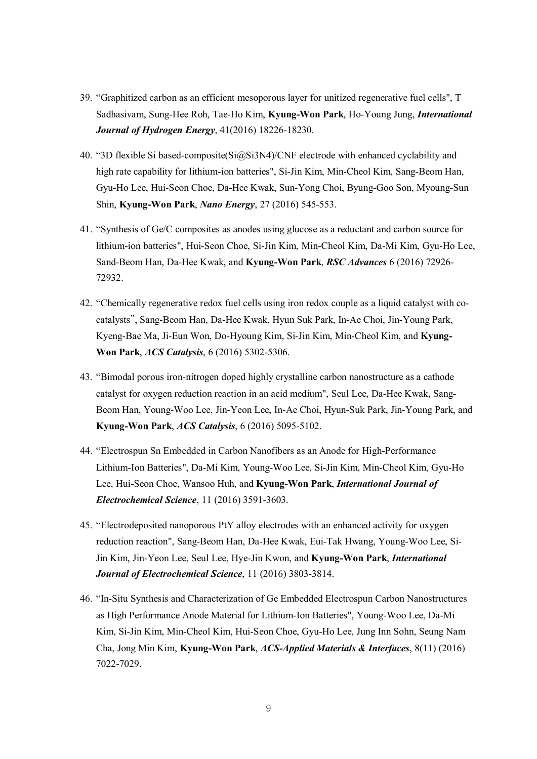- 39. "Graphitized carbon as an efficient mesoporous layer for unitized regenerative fuel cells", T Sadhasivam, Sung-Hee Roh, Tae-Ho Kim, **Kyung-Won Park**, Ho-Young Jung, *International Journal of Hydrogen Energy*, 41(2016) 18226-18230.
- 40. "3D flexible Si based-composite(Si@Si3N4)/CNF electrode with enhanced cyclability and high rate capability for lithium-ion batteries", Si-Jin Kim, Min-Cheol Kim, Sang-Beom Han, Gyu-Ho Lee, Hui-Seon Choe, Da-Hee Kwak, Sun-Yong Choi, Byung-Goo Son, Myoung-Sun Shin, **Kyung-Won Park**, *Nano Energy*, 27 (2016) 545-553.
- 41. "Synthesis of Ge/C composites as anodes using glucose as a reductant and carbon source for lithium-ion batteries", Hui-Seon Choe, Si-Jin Kim, Min-Cheol Kim, Da-Mi Kim, Gyu-Ho Lee, Sand-Beom Han, Da-Hee Kwak, and **Kyung-Won Park**, *RSC Advances* 6 (2016) 72926- 72932.
- 42. "Chemically regenerative redox fuel cells using iron redox couple as a liquid catalyst with cocatalysts", Sang-Beom Han, Da-Hee Kwak, Hyun Suk Park, In-Ae Choi, Jin-Young Park, Kyeng-Bae Ma, Ji-Eun Won, Do-Hyoung Kim, Si-Jin Kim, Min-Cheol Kim, and **Kyung-Won Park**, *ACS Catalysis*, 6 (2016) 5302-5306.
- 43. "Bimodal porous iron-nitrogen doped highly crystalline carbon nanostructure as a cathode catalyst for oxygen reduction reaction in an acid medium", Seul Lee, Da-Hee Kwak, Sang-Beom Han, Young-Woo Lee, Jin-Yeon Lee, In-Ae Choi, Hyun-Suk Park, Jin-Young Park, and **Kyung-Won Park**, *ACS Catalysis*, 6 (2016) 5095-5102.
- 44. "Electrospun Sn Embedded in Carbon Nanofibers as an Anode for High-Performance Lithium-Ion Batteries", Da-Mi Kim, Young-Woo Lee, Si-Jin Kim, Min-Cheol Kim, Gyu-Ho Lee, Hui-Seon Choe, Wansoo Huh, and **Kyung-Won Park**, *International Journal of Electrochemical Science*, 11 (2016) 3591-3603.
- 45. "Electrodeposited nanoporous PtY alloy electrodes with an enhanced activity for oxygen reduction reaction", Sang-Beom Han, Da-Hee Kwak, Eui-Tak Hwang, Young-Woo Lee, Si-Jin Kim, Jin-Yeon Lee, Seul Lee, Hye-Jin Kwon, and **Kyung-Won Park**, *International Journal of Electrochemical Science*, 11 (2016) 3803-3814.
- 46. "In-Situ Synthesis and Characterization of Ge Embedded Electrospun Carbon Nanostructures as High Performance Anode Material for Lithium-Ion Batteries", Young-Woo Lee, Da-Mi Kim, Si-Jin Kim, Min-Cheol Kim, Hui-Seon Choe, Gyu-Ho Lee, Jung Inn Sohn, Seung Nam Cha, Jong Min Kim, **Kyung-Won Park**, *ACS-Applied Materials & Interfaces*, 8(11) (2016) 7022-7029.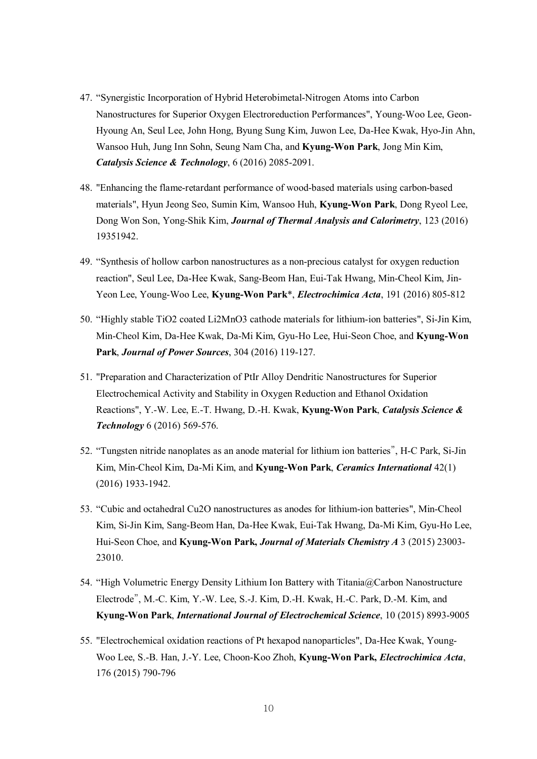- 47. "Synergistic Incorporation of Hybrid Heterobimetal-Nitrogen Atoms into Carbon Nanostructures for Superior Oxygen Electroreduction Performances", Young-Woo Lee, Geon-Hyoung An, Seul Lee, John Hong, Byung Sung Kim, Juwon Lee, Da-Hee Kwak, Hyo-Jin Ahn, Wansoo Huh, Jung Inn Sohn, Seung Nam Cha, and **Kyung-Won Park**, Jong Min Kim, *Catalysis Science & Technology*, 6 (2016) 2085-2091.
- 48. "Enhancing the flame-retardant performance of wood-based materials using carbon-based materials", Hyun Jeong Seo, Sumin Kim, Wansoo Huh, **Kyung-Won Park**, Dong Ryeol Lee, Dong Won Son, Yong-Shik Kim, *Journal of Thermal Analysis and Calorimetry*, 123 (2016) 19351942.
- 49. "Synthesis of hollow carbon nanostructures as a non-precious catalyst for oxygen reduction reaction", Seul Lee, Da-Hee Kwak, Sang-Beom Han, Eui-Tak Hwang, Min-Cheol Kim, Jin-Yeon Lee, Young-Woo Lee, **Kyung-Won Park**\*, *Electrochimica Acta*, 191 (2016) 805-812
- 50. "Highly stable TiO2 coated Li2MnO3 cathode materials for lithium-ion batteries", Si-Jin Kim, Min-Cheol Kim, Da-Hee Kwak, Da-Mi Kim, Gyu-Ho Lee, Hui-Seon Choe, and **Kyung-Won Park**, *Journal of Power Sources*, 304 (2016) 119-127.
- 51. "Preparation and Characterization of PtIr Alloy Dendritic Nanostructures for Superior Electrochemical Activity and Stability in Oxygen Reduction and Ethanol Oxidation Reactions", Y.-W. Lee, E.-T. Hwang, D.-H. Kwak, **Kyung-Won Park**, *Catalysis Science & Technology* 6 (2016) 569-576.
- 52. "Tungsten nitride nanoplates as an anode material for lithium ion batteries", H-C Park, Si-Jin Kim, Min-Cheol Kim, Da-Mi Kim, and **Kyung-Won Park**, *Ceramics International* 42(1) (2016) 1933-1942.
- 53. "Cubic and octahedral Cu2O nanostructures as anodes for lithium-ion batteries", Min-Cheol Kim, Si-Jin Kim, Sang-Beom Han, Da-Hee Kwak, Eui-Tak Hwang, Da-Mi Kim, Gyu-Ho Lee, Hui-Seon Choe, and **Kyung-Won Park,** *Journal of Materials Chemistry A* 3 (2015) 23003- 23010.
- 54. "High Volumetric Energy Density Lithium Ion Battery with Titania@Carbon Nanostructure Electrode", M.-C. Kim, Y.-W. Lee, S.-J. Kim, D.-H. Kwak, H.-C. Park, D.-M. Kim, and **Kyung-Won Park**, *International Journal of Electrochemical Science*, 10 (2015) 8993-9005
- 55. "Electrochemical oxidation reactions of Pt hexapod nanoparticles", Da-Hee Kwak, Young-Woo Lee, S.-B. Han, J.-Y. Lee, Choon-Koo Zhoh, **Kyung-Won Park,** *Electrochimica Acta*, 176 (2015) 790-796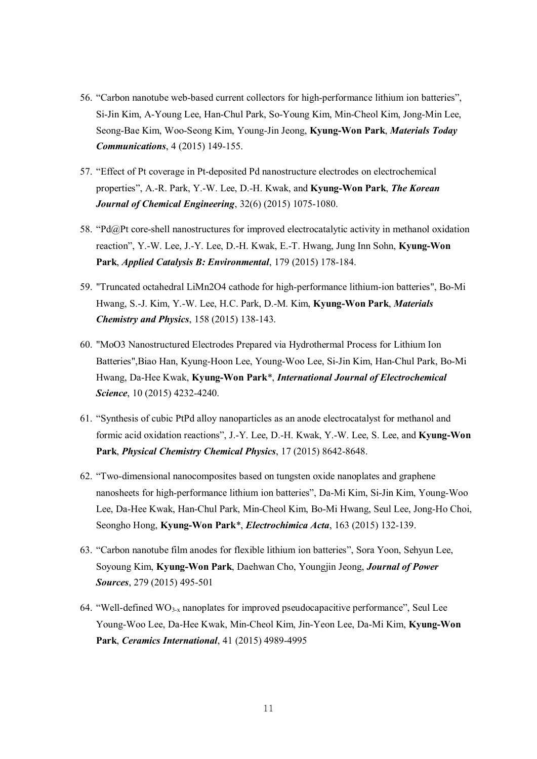- 56. "Carbon nanotube web-based current collectors for high-performance lithium ion batteries", Si-Jin Kim, A-Young Lee, Han-Chul Park, So-Young Kim, Min-Cheol Kim, Jong-Min Lee, Seong-Bae Kim, Woo-Seong Kim, Young-Jin Jeong, **Kyung-Won Park**, *Materials Today Communications*, 4 (2015) 149-155.
- 57. "Effect of Pt coverage in Pt-deposited Pd nanostructure electrodes on electrochemical properties", A.-R. Park, Y.-W. Lee, D.-H. Kwak, and **Kyung-Won Park**, *The Korean Journal of Chemical Engineering*, 32(6) (2015) 1075-1080.
- 58. "Pd@Pt core-shell nanostructures for improved electrocatalytic activity in methanol oxidation reaction", Y.-W. Lee, J.-Y. Lee, D.-H. Kwak, E.-T. Hwang, Jung Inn Sohn, **Kyung-Won Park**, *Applied Catalysis B: Environmental*, 179 (2015) 178-184.
- 59. "Truncated octahedral LiMn2O4 cathode for high-performance lithium-ion batteries", Bo-Mi Hwang, S.-J. Kim, Y.-W. Lee, H.C. Park, D.-M. Kim, **Kyung-Won Park**, *Materials Chemistry and Physics*, 158 (2015) 138-143.
- 60. "MoO3 Nanostructured Electrodes Prepared via Hydrothermal Process for Lithium Ion Batteries",Biao Han, Kyung-Hoon Lee, Young-Woo Lee, Si-Jin Kim, Han-Chul Park, Bo-Mi Hwang, Da-Hee Kwak, **Kyung-Won Park**\*, *International Journal of Electrochemical Science*, 10 (2015) 4232-4240.
- 61. "Synthesis of cubic PtPd alloy nanoparticles as an anode electrocatalyst for methanol and formic acid oxidation reactions", J.-Y. Lee, D.-H. Kwak, Y.-W. Lee, S. Lee, and **Kyung-Won Park**, *Physical Chemistry Chemical Physics*, 17 (2015) 8642-8648.
- 62. "Two-dimensional nanocomposites based on tungsten oxide nanoplates and graphene nanosheets for high-performance lithium ion batteries", Da-Mi Kim, Si-Jin Kim, Young-Woo Lee, Da-Hee Kwak, Han-Chul Park, Min-Cheol Kim, Bo-Mi Hwang, Seul Lee, Jong-Ho Choi, Seongho Hong, **Kyung-Won Park**\*, *Electrochimica Acta*, 163 (2015) 132-139.
- 63. "Carbon nanotube film anodes for flexible lithium ion batteries", Sora Yoon, Sehyun Lee, Soyoung Kim, **Kyung-Won Park**, Daehwan Cho, Youngjin Jeong, *Journal of Power Sources*, 279 (2015) 495-501
- 64. "Well-defined  $WO_{3-x}$  nanoplates for improved pseudocapacitive performance", Seul Lee Young-Woo Lee, Da-Hee Kwak, Min-Cheol Kim, Jin-Yeon Lee, Da-Mi Kim, **Kyung-Won Park**, *Ceramics International*, 41 (2015) 4989-4995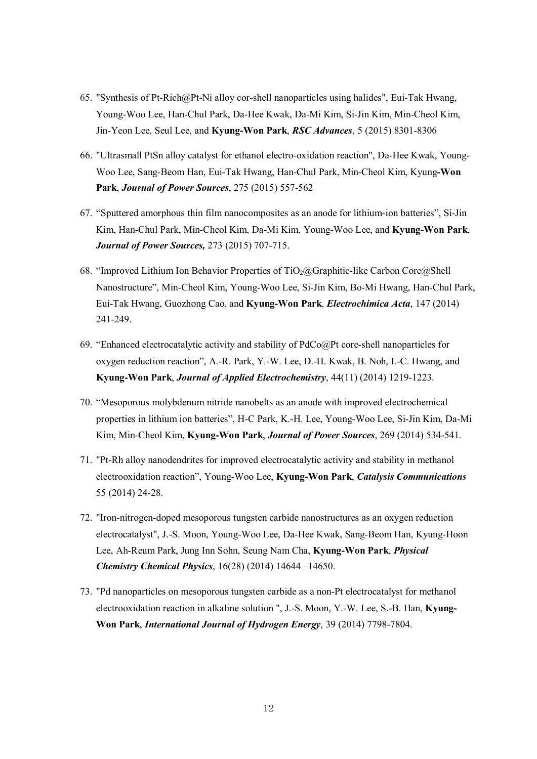- 65. "Synthesis of Pt-Rich@Pt-Ni alloy cor-shell nanoparticles using halides", Eui-Tak Hwang, Young-Woo Lee, Han-Chul Park, Da-Hee Kwak, Da-Mi Kim, Si-Jin Kim, Min-Cheol Kim, Jin-Yeon Lee, Seul Lee, and **Kyung-Won Park**, *RSC Advances*, 5 (2015) 8301-8306
- 66. "Ultrasmall PtSn alloy catalyst for ethanol electro-oxidation reaction", Da-Hee Kwak, Young-Woo Lee, Sang-Beom Han, Eui-Tak Hwang, Han-Chul Park, Min-Cheol Kim, Kyung**-Won Park**, *Journal of Power Sources*, 275 (2015) 557-562
- 67. "Sputtered amorphous thin film nanocomposites as an anode for lithium-ion batteries", Si-Jin Kim, Han-Chul Park, Min-Cheol Kim, Da-Mi Kim, Young-Woo Lee, and **Kyung-Won Park**, *Journal of Power Sources,* 273 (2015) 707-715.
- 68. "Improved Lithium Ion Behavior Properties of TiO<sub>2</sub>@Graphitic-like Carbon Core@Shell Nanostructure", Min-Cheol Kim, Young-Woo Lee, Si-Jin Kim, Bo-Mi Hwang, Han-Chul Park, Eui-Tak Hwang, Guozhong Cao, and **Kyung-Won Park**, *Electrochimica Acta*, 147 (2014) 241-249.
- 69. "Enhanced electrocatalytic activity and stability of PdCo@Pt core-shell nanoparticles for oxygen reduction reaction", A.-R. Park, Y.-W. Lee, D.-H. Kwak, B. Noh, I.-C. Hwang, and **Kyung-Won Park**, *Journal of Applied Electrochemistry*, 44(11) (2014) 1219-1223.
- 70. "Mesoporous molybdenum nitride nanobelts as an anode with improved electrochemical properties in lithium ion batteries", H-C Park, K.-H. Lee, Young-Woo Lee, Si-Jin Kim, Da-Mi Kim, Min-Cheol Kim, **Kyung-Won Park**, *Journal of Power Sources*, 269 (2014) 534-541.
- 71. "Pt-Rh alloy nanodendrites for improved electrocatalytic activity and stability in methanol electrooxidation reaction", Young-Woo Lee, **Kyung-Won Park**, *Catalysis Communications* 55 (2014) 24-28.
- 72. "Iron-nitrogen-doped mesoporous tungsten carbide nanostructures as an oxygen reduction electrocatalyst", J.-S. Moon, Young-Woo Lee, Da-Hee Kwak, Sang-Beom Han, Kyung-Hoon Lee, Ah-Reum Park, Jung Inn Sohn, Seung Nam Cha, **Kyung-Won Park**, *Physical Chemistry Chemical Physics*, 16(28) (2014) 14644 –14650.
- 73. "Pd nanoparticles on mesoporous tungsten carbide as a non-Pt electrocatalyst for methanol electrooxidation reaction in alkaline solution ", J.-S. Moon, Y.-W. Lee, S.-B. Han, **Kyung-Won Park**, *International Journal of Hydrogen Energy*, 39 (2014) 7798-7804.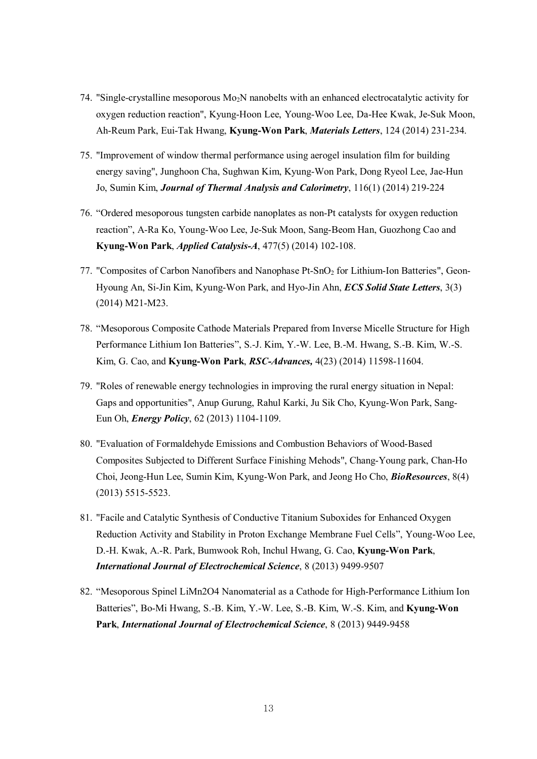- 74. "Single-crystalline mesoporous  $Mo<sub>2</sub>N$  nanobelts with an enhanced electrocatalytic activity for oxygen reduction reaction", Kyung-Hoon Lee, Young-Woo Lee, Da-Hee Kwak, Je-Suk Moon, Ah-Reum Park, Eui-Tak Hwang, **Kyung-Won Park**, *Materials Letters*, 124 (2014) 231-234.
- 75. "Improvement of window thermal performance using aerogel insulation film for building energy saving", Junghoon Cha, Sughwan Kim, Kyung-Won Park, Dong Ryeol Lee, Jae-Hun Jo, Sumin Kim, *Journal of Thermal Analysis and Calorimetry*, 116(1) (2014) 219-224
- 76. "Ordered mesoporous tungsten carbide nanoplates as non-Pt catalysts for oxygen reduction reaction", A-Ra Ko, Young-Woo Lee, Je-Suk Moon, Sang-Beom Han, Guozhong Cao and **Kyung-Won Park**, *Applied Catalysis-A*, 477(5) (2014) 102-108.
- 77. "Composites of Carbon Nanofibers and Nanophase Pt-SnO<sub>2</sub> for Lithium-Ion Batteries", Geon-Hyoung An, Si-Jin Kim, Kyung-Won Park, and Hyo-Jin Ahn, *ECS Solid State Letters*, 3(3) (2014) M21-M23.
- 78. "Mesoporous Composite Cathode Materials Prepared from Inverse Micelle Structure for High Performance Lithium Ion Batteries", S.-J. Kim, Y.-W. Lee, B.-M. Hwang, S.-B. Kim, W.-S. Kim, G. Cao, and **Kyung-Won Park**, *RSC-Advances,* 4(23) (2014) 11598-11604.
- 79. "Roles of renewable energy technologies in improving the rural energy situation in Nepal: Gaps and opportunities", Anup Gurung, Rahul Karki, Ju Sik Cho, Kyung-Won Park, Sang-Eun Oh, *Energy Policy*, 62 (2013) 1104-1109.
- 80. "Evaluation of Formaldehyde Emissions and Combustion Behaviors of Wood-Based Composites Subjected to Different Surface Finishing Mehods", Chang-Young park, Chan-Ho Choi, Jeong-Hun Lee, Sumin Kim, Kyung-Won Park, and Jeong Ho Cho, *BioResources*, 8(4) (2013) 5515-5523.
- 81. "Facile and Catalytic Synthesis of Conductive Titanium Suboxides for Enhanced Oxygen Reduction Activity and Stability in Proton Exchange Membrane Fuel Cells", Young-Woo Lee, D.-H. Kwak, A.-R. Park, Bumwook Roh, Inchul Hwang, G. Cao, **Kyung-Won Park**, *International Journal of Electrochemical Science*, 8 (2013) 9499-9507
- 82. "Mesoporous Spinel LiMn2O4 Nanomaterial as a Cathode for High-Performance Lithium Ion Batteries", Bo-Mi Hwang, S.-B. Kim, Y.-W. Lee, S.-B. Kim, W.-S. Kim, and **Kyung-Won Park**, *International Journal of Electrochemical Science*, 8 (2013) 9449-9458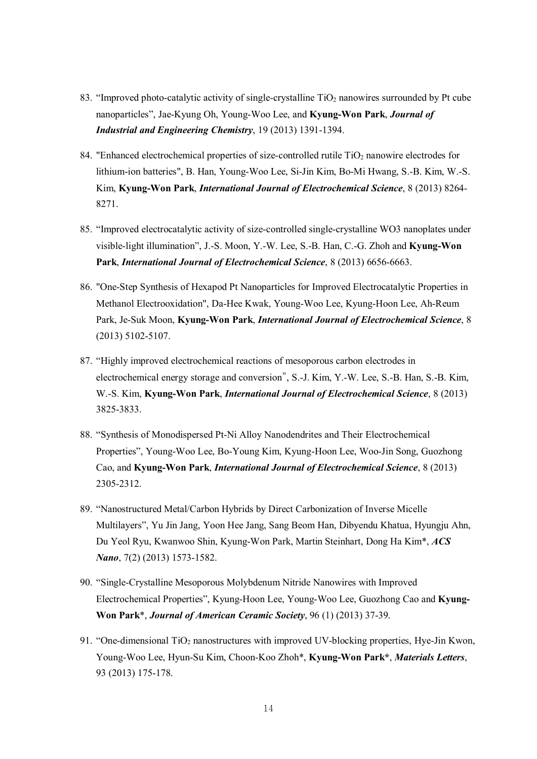- 83. "Improved photo-catalytic activity of single-crystalline  $TiO<sub>2</sub>$  nanowires surrounded by Pt cube nanoparticles", Jae-Kyung Oh, Young-Woo Lee, and **Kyung-Won Park**, *Journal of Industrial and Engineering Chemistry*, 19 (2013) 1391-1394.
- 84. "Enhanced electrochemical properties of size-controlled rutile  $TiO<sub>2</sub>$  nanowire electrodes for lithium-ion batteries", B. Han, Young-Woo Lee, Si-Jin Kim, Bo-Mi Hwang, S.-B. Kim, W.-S. Kim, **Kyung-Won Park**, *International Journal of Electrochemical Science*, 8 (2013) 8264- 8271.
- 85. "Improved electrocatalytic activity of size-controlled single-crystalline WO3 nanoplates under visible-light illumination", J.-S. Moon, Y.-W. Lee, S.-B. Han, C.-G. Zhoh and **Kyung-Won Park**, *International Journal of Electrochemical Science*, 8 (2013) 6656-6663.
- 86. "One-Step Synthesis of Hexapod Pt Nanoparticles for Improved Electrocatalytic Properties in Methanol Electrooxidation", Da-Hee Kwak, Young-Woo Lee, Kyung-Hoon Lee, Ah-Reum Park, Je-Suk Moon, **Kyung-Won Park**, *International Journal of Electrochemical Science*, 8 (2013) 5102-5107.
- 87. "Highly improved electrochemical reactions of mesoporous carbon electrodes in electrochemical energy storage and conversion", S.-J. Kim, Y.-W. Lee, S.-B. Han, S.-B. Kim, W.-S. Kim, **Kyung-Won Park**, *International Journal of Electrochemical Science*, 8 (2013) 3825-3833.
- 88. "Synthesis of Monodispersed Pt-Ni Alloy Nanodendrites and Their Electrochemical Properties", Young-Woo Lee, Bo-Young Kim, Kyung-Hoon Lee, Woo-Jin Song, Guozhong Cao, and **Kyung-Won Park**, *International Journal of Electrochemical Science*, 8 (2013) 2305-2312.
- 89. "Nanostructured Metal/Carbon Hybrids by Direct Carbonization of Inverse Micelle Multilayers", Yu Jin Jang, Yoon Hee Jang, Sang Beom Han, Dibyendu Khatua, Hyungju Ahn, Du Yeol Ryu, Kwanwoo Shin, Kyung-Won Park, Martin Steinhart, Dong Ha Kim\*, *ACS Nano*, 7(2) (2013) 1573-1582.
- 90. "Single-Crystalline Mesoporous Molybdenum Nitride Nanowires with Improved Electrochemical Properties", Kyung-Hoon Lee, Young-Woo Lee, Guozhong Cao and **Kyung-Won Park**\*, *Journal of American Ceramic Society*, 96 (1) (2013) 37-39.
- 91. "One-dimensional  $TiO<sub>2</sub>$  nanostructures with improved UV-blocking properties, Hye-Jin Kwon, Young-Woo Lee, Hyun-Su Kim, Choon-Koo Zhoh\*, **Kyung-Won Park\***, *Materials Letters*, 93 (2013) 175-178.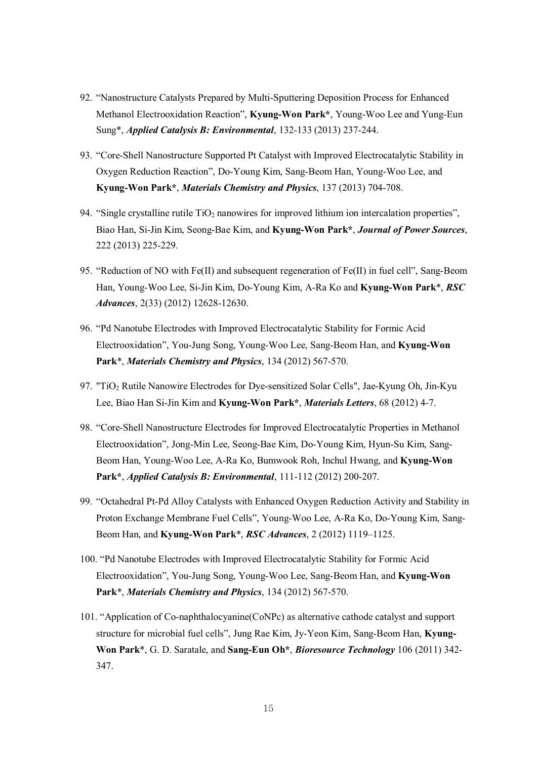- 92. "Nanostructure Catalysts Prepared by Multi-Sputtering Deposition Process for Enhanced Methanol Electrooxidation Reaction", **Kyung-Won Park\***, Young-Woo Lee and Yung-Eun Sung\*, *Applied Catalysis B: Environmental*, 132-133 (2013) 237-244.
- 93. "Core-Shell Nanostructure Supported Pt Catalyst with Improved Electrocatalytic Stability in Oxygen Reduction Reaction", Do-Young Kim, Sang-Beom Han, Young-Woo Lee, and **Kyung-Won Park\***, *Materials Chemistry and Physics*, 137 (2013) 704-708.
- 94. "Single crystalline rutile  $TiO<sub>2</sub>$  nanowires for improved lithium ion intercalation properties", Biao Han, Si-Jin Kim, Seong-Bae Kim, and **Kyung-Won Park\***, *Journal of Power Sources*, 222 (2013) 225-229.
- 95. "Reduction of NO with Fe(II) and subsequent regeneration of Fe(II) in fuel cell", Sang-Beom Han, Young-Woo Lee, Si-Jin Kim, Do-Young Kim, A-Ra Ko and **Kyung-Won Park**\*, *RSC Advances*, 2(33) (2012) 12628-12630.
- 96. "Pd Nanotube Electrodes with Improved Electrocatalytic Stability for Formic Acid Electrooxidation", You-Jung Song, Young-Woo Lee, Sang-Beom Han, and **Kyung-Won Park**\*, *Materials Chemistry and Physics*, 134 (2012) 567-570.
- 97. "TiO<sup>2</sup> Rutile Nanowire Electrodes for Dye-sensitized Solar Cells", Jae-Kyung Oh, Jin-Kyu Lee, Biao Han Si-Jin Kim and **Kyung-Won Park\***, *Materials Letters*, 68 (2012) 4-7.
- 98. "Core-Shell Nanostructure Electrodes for Improved Electrocatalytic Properties in Methanol Electrooxidation", Jong-Min Lee, Seong-Bae Kim, Do-Young Kim, Hyun-Su Kim, Sang-Beom Han, Young-Woo Lee, A-Ra Ko, Bumwook Roh, Inchul Hwang, and **Kyung-Won Park\***, *Applied Catalysis B: Environmental*, 111-112 (2012) 200-207.
- 99. "Octahedral Pt-Pd Alloy Catalysts with Enhanced Oxygen Reduction Activity and Stability in Proton Exchange Membrane Fuel Cells", Young-Woo Lee, A-Ra Ko, Do-Young Kim, Sang-Beom Han, and **Kyung-Won Park**\*, *RSC Advances*, 2 (2012) 1119–1125.
- 100. "Pd Nanotube Electrodes with Improved Electrocatalytic Stability for Formic Acid Electrooxidation", You-Jung Song, Young-Woo Lee, Sang-Beom Han, and **Kyung-Won Park**\*, *Materials Chemistry and Physics*, 134 (2012) 567-570.
- 101. "Application of Co-naphthalocyanine(CoNPc) as alternative cathode catalyst and support structure for microbial fuel cells", Jung Rae Kim, Jy-Yeon Kim, Sang-Beom Han, **Kyung-Won Park**\*, G. D. Saratale, and **Sang-Eun Oh\***, *Bioresource Technology* 106 (2011) 342- 347.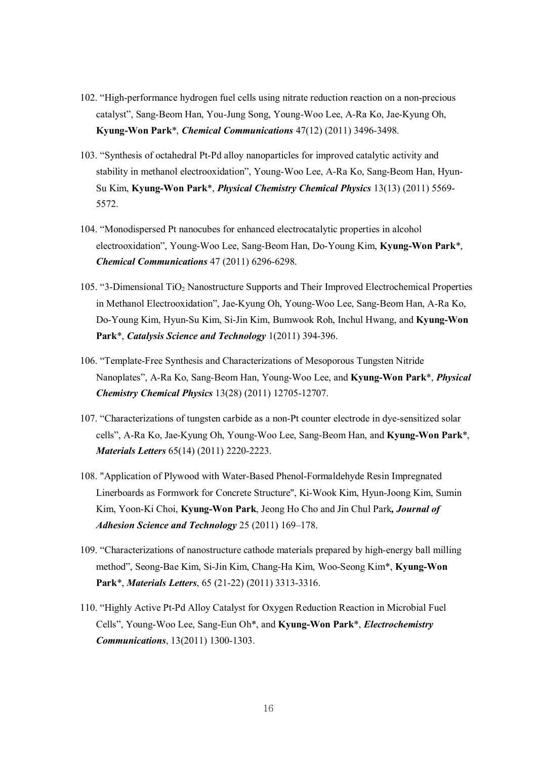- 102. "High-performance hydrogen fuel cells using nitrate reduction reaction on a non-precious catalyst", Sang-Beom Han, You-Jung Song, Young-Woo Lee, A-Ra Ko, Jae-Kyung Oh, **Kyung-Won Park**\*, *Chemical Communications* 47(12) (2011) 3496-3498.
- 103. "Synthesis of octahedral Pt-Pd alloy nanoparticles for improved catalytic activity and stability in methanol electrooxidation", Young-Woo Lee, A-Ra Ko, Sang-Beom Han, Hyun-Su Kim, **Kyung-Won Park**\*, *Physical Chemistry Chemical Physics* 13(13) (2011) 5569- 5572.
- 104. "Monodispersed Pt nanocubes for enhanced electrocatalytic properties in alcohol electrooxidation", Young-Woo Lee, Sang-Beom Han, Do-Young Kim, **Kyung-Won Park**\*, *Chemical Communications* 47 (2011) 6296-6298.
- 105. "3-Dimensional TiO<sup>2</sup> Nanostructure Supports and Their Improved Electrochemical Properties in Methanol Electrooxidation", Jae-Kyung Oh, Young-Woo Lee, Sang-Beom Han, A-Ra Ko, Do-Young Kim, Hyun-Su Kim, Si-Jin Kim, Bumwook Roh, Inchul Hwang, and **Kyung-Won Park**\*, *Catalysis Science and Technology* 1(2011) 394-396.
- 106. "Template-Free Synthesis and Characterizations of Mesoporous Tungsten Nitride Nanoplates", A-Ra Ko, Sang-Beom Han, Young-Woo Lee, and **Kyung-Won Park**\*, *Physical Chemistry Chemical Physics* 13(28) (2011) 12705-12707.
- 107. "Characterizations of tungsten carbide as a non-Pt counter electrode in dye-sensitized solar cells", A-Ra Ko, Jae-Kyung Oh, Young-Woo Lee, Sang-Beom Han, and **Kyung-Won Park**\*, *Materials Letters* 65(14) (2011) 2220-2223.
- 108. "Application of Plywood with Water-Based Phenol-Formaldehyde Resin Impregnated Linerboards as Formwork for Concrete Structure", Ki-Wook Kim, Hyun-Joong Kim, Sumin Kim, Yoon-Ki Choi, **Kyung-Won Park**, Jeong Ho Cho and Jin Chul Park*, Journal of Adhesion Science and Technology* 25 (2011) 169–178.
- 109. "Characterizations of nanostructure cathode materials prepared by high-energy ball milling method", Seong-Bae Kim, Si-Jin Kim, Chang-Ha Kim, Woo-Seong Kim\*, **Kyung-Won Park**\*, *Materials Letters*, 65 (21-22) (2011) 3313-3316.
- 110. "Highly Active Pt-Pd Alloy Catalyst for Oxygen Reduction Reaction in Microbial Fuel Cells", Young-Woo Lee, Sang-Eun Oh\*, and **Kyung-Won Park**\*, *Electrochemistry Communications*, 13(2011) 1300-1303.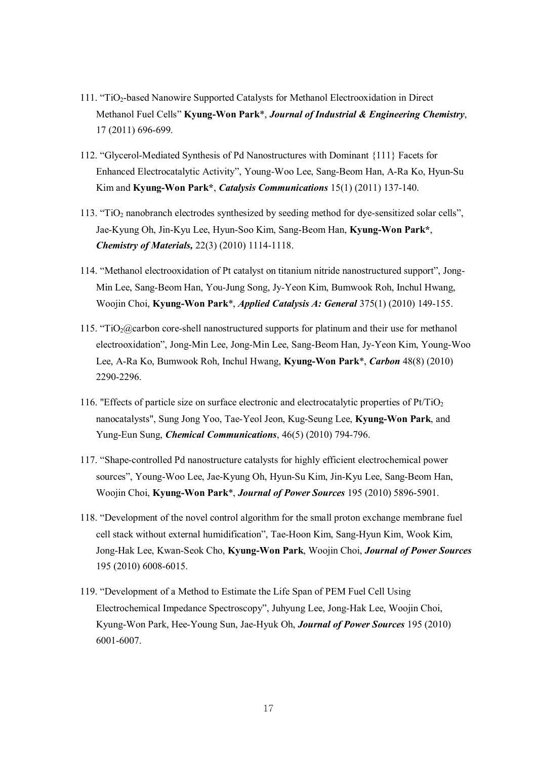- 111. "TiO<sub>2</sub>-based Nanowire Supported Catalysts for Methanol Electrooxidation in Direct Methanol Fuel Cells" **Kyung-Won Park**\*, *Journal of Industrial & Engineering Chemistry*, 17 (2011) 696-699.
- 112. "Glycerol-Mediated Synthesis of Pd Nanostructures with Dominant {111} Facets for Enhanced Electrocatalytic Activity", Young-Woo Lee, Sang-Beom Han, A-Ra Ko, Hyun-Su Kim and **Kyung-Won Park\***, *Catalysis Communications* 15(1) (2011) 137-140.
- $113.$  "TiO<sub>2</sub> nanobranch electrodes synthesized by seeding method for dye-sensitized solar cells", Jae-Kyung Oh, Jin-Kyu Lee, Hyun-Soo Kim, Sang-Beom Han, **Kyung-Won Park\***, *Chemistry of Materials,* 22(3) (2010) 1114-1118.
- 114. "Methanol electrooxidation of Pt catalyst on titanium nitride nanostructured support", Jong-Min Lee, Sang-Beom Han, You-Jung Song, Jy-Yeon Kim, Bumwook Roh, Inchul Hwang, Woojin Choi, **Kyung-Won Park**\*, *Applied Catalysis A: General* 375(1) (2010) 149-155.
- 115. "TiO<sub>2</sub>@carbon core-shell nanostructured supports for platinum and their use for methanol electrooxidation", Jong-Min Lee, Jong-Min Lee, Sang-Beom Han, Jy-Yeon Kim, Young-Woo Lee, A-Ra Ko, Bumwook Roh, Inchul Hwang, **Kyung-Won Park**\*, *Carbon* 48(8) (2010) 2290-2296.
- 116. "Effects of particle size on surface electronic and electrocatalytic properties of  $Pt/TiO<sub>2</sub>$ nanocatalysts", Sung Jong Yoo, Tae-Yeol Jeon, Kug-Seung Lee, **Kyung-Won Park**, and Yung-Eun Sung, *Chemical Communications*, 46(5) (2010) 794-796.
- 117. "Shape-controlled Pd nanostructure catalysts for highly efficient electrochemical power sources", Young-Woo Lee, Jae-Kyung Oh, Hyun-Su Kim, Jin-Kyu Lee, Sang-Beom Han, Woojin Choi, **Kyung-Won Park**\*, *Journal of Power Sources* 195 (2010) 5896-5901.
- 118. "Development of the novel control algorithm for the small proton exchange membrane fuel cell stack without external humidification", Tae-Hoon Kim, Sang-Hyun Kim, Wook Kim, Jong-Hak Lee, Kwan-Seok Cho, **Kyung-Won Park**, Woojin Choi, *Journal of Power Sources* 195 (2010) 6008-6015.
- 119. "Development of a Method to Estimate the Life Span of PEM Fuel Cell Using Electrochemical Impedance Spectroscopy", Juhyung Lee, Jong-Hak Lee, Woojin Choi, Kyung-Won Park, Hee-Young Sun, Jae-Hyuk Oh, *Journal of Power Sources* 195 (2010) 6001-6007.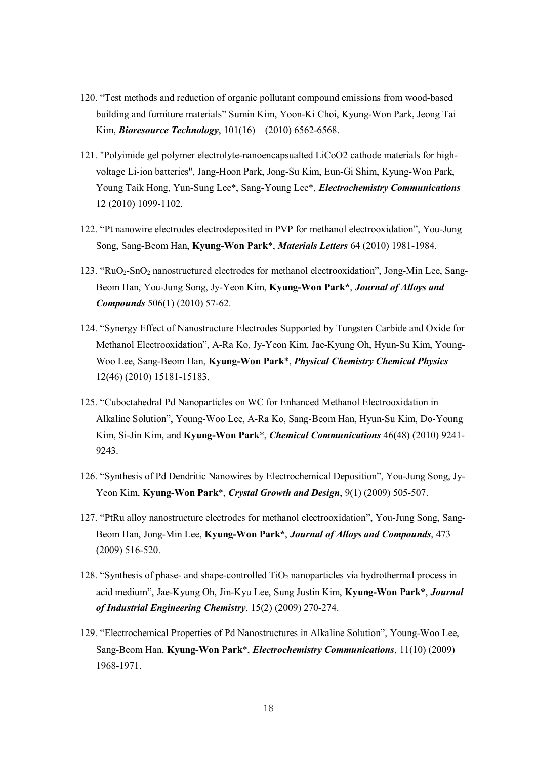- 120. "Test methods and reduction of organic pollutant compound emissions from wood-based building and furniture materials" Sumin Kim, Yoon-Ki Choi, Kyung-Won Park, Jeong Tai Kim, *Bioresource Technology*, 101(16) (2010) 6562-6568.
- 121. "Polyimide gel polymer electrolyte-nanoencapsualted LiCoO2 cathode materials for highvoltage Li-ion batteries", Jang-Hoon Park, Jong-Su Kim, Eun-Gi Shim, Kyung-Won Park, Young Taik Hong, Yun-Sung Lee\*, Sang-Young Lee\*, *Electrochemistry Communications* 12 (2010) 1099-1102.
- 122. "Pt nanowire electrodes electrodeposited in PVP for methanol electrooxidation", You-Jung Song, Sang-Beom Han, **Kyung-Won Park**\*, *Materials Letters* 64 (2010) 1981-1984.
- 123. "RuO2-SnO<sup>2</sup> nanostructured electrodes for methanol electrooxidation", Jong-Min Lee, Sang-Beom Han, You-Jung Song, Jy-Yeon Kim, **Kyung-Won Park\***, *Journal of Alloys and Compounds* 506(1) (2010) 57-62.
- 124. "Synergy Effect of Nanostructure Electrodes Supported by Tungsten Carbide and Oxide for Methanol Electrooxidation", A-Ra Ko, Jy-Yeon Kim, Jae-Kyung Oh, Hyun-Su Kim, Young-Woo Lee, Sang-Beom Han, **Kyung-Won Park**\*, *Physical Chemistry Chemical Physics* 12(46) (2010) 15181-15183.
- 125. "Cuboctahedral Pd Nanoparticles on WC for Enhanced Methanol Electrooxidation in Alkaline Solution", Young-Woo Lee, A-Ra Ko, Sang-Beom Han, Hyun-Su Kim, Do-Young Kim, Si-Jin Kim, and **Kyung-Won Park**\*, *Chemical Communications* 46(48) (2010) 9241- 9243.
- 126. "Synthesis of Pd Dendritic Nanowires by Electrochemical Deposition", You-Jung Song, Jy-Yeon Kim, **Kyung-Won Park**\*, *Crystal Growth and Design*, 9(1) (2009) 505-507.
- 127. "PtRu alloy nanostructure electrodes for methanol electrooxidation", You-Jung Song, Sang-Beom Han, Jong-Min Lee, **Kyung-Won Park\***, *Journal of Alloys and Compounds*, 473 (2009) 516-520.
- 128. "Synthesis of phase- and shape-controlled  $TiO<sub>2</sub>$  nanoparticles via hydrothermal process in acid medium", Jae-Kyung Oh, Jin-Kyu Lee, Sung Justin Kim, **Kyung-Won Park\***, *Journal of Industrial Engineering Chemistry*, 15(2) (2009) 270-274.
- 129. "Electrochemical Properties of Pd Nanostructures in Alkaline Solution", Young-Woo Lee, Sang-Beom Han, **Kyung-Won Park**\*, *Electrochemistry Communications*, 11(10) (2009) 1968-1971.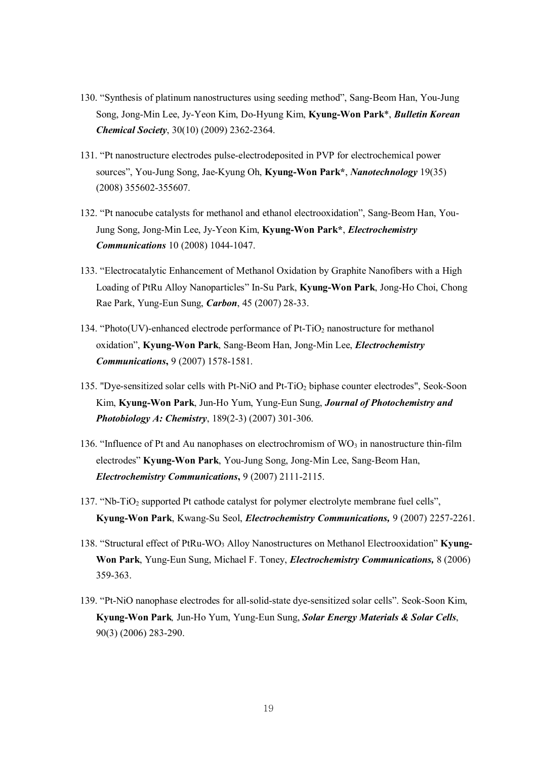- 130. "Synthesis of platinum nanostructures using seeding method", Sang-Beom Han, You-Jung Song, Jong-Min Lee, Jy-Yeon Kim, Do-Hyung Kim, **Kyung-Won Park**\*, *Bulletin Korean Chemical Society*, 30(10) (2009) 2362-2364.
- 131. "Pt nanostructure electrodes pulse-electrodeposited in PVP for electrochemical power sources", You-Jung Song, Jae-Kyung Oh, **Kyung-Won Park\***, *Nanotechnology* 19(35) (2008) 355602-355607.
- 132. "Pt nanocube catalysts for methanol and ethanol electrooxidation", Sang-Beom Han, You-Jung Song, Jong-Min Lee, Jy-Yeon Kim, **Kyung-Won Park\***, *Electrochemistry Communications* 10 (2008) 1044-1047.
- 133. "Electrocatalytic Enhancement of Methanol Oxidation by Graphite Nanofibers with a High Loading of PtRu Alloy Nanoparticles" In-Su Park, **Kyung-Won Park**, Jong-Ho Choi, Chong Rae Park, Yung-Eun Sung, *Carbon*, 45 (2007) 28-33.
- 134. "Photo(UV)-enhanced electrode performance of Pt-TiO<sup>2</sup> nanostructure for methanol oxidation", **Kyung-Won Park**, Sang-Beom Han, Jong-Min Lee, *Electrochemistry Communications***,** 9 (2007) 1578-1581.
- 135. "Dye-sensitized solar cells with Pt-NiO and Pt-TiO<sub>2</sub> biphase counter electrodes", Seok-Soon Kim, **Kyung-Won Park**, Jun-Ho Yum, Yung-Eun Sung, *Journal of Photochemistry and Photobiology A: Chemistry*, 189(2-3) (2007) 301-306.
- 136. "Influence of Pt and Au nanophases on electrochromism of  $WO_3$  in nanostructure thin-film electrodes" **Kyung-Won Park**, You-Jung Song, Jong-Min Lee, Sang-Beom Han, *Electrochemistry Communications***,** 9 (2007) 2111-2115.
- 137. "Nb-TiO<sup>2</sup> supported Pt cathode catalyst for polymer electrolyte membrane fuel cells", **Kyung-Won Park**, Kwang-Su Seol, *Electrochemistry Communications,* 9 (2007) 2257-2261.
- 138. "Structural effect of PtRu-WO<sup>3</sup> Alloy Nanostructures on Methanol Electrooxidation" **Kyung-Won Park**, Yung-Eun Sung, Michael F. Toney, *Electrochemistry Communications,* 8 (2006) 359-363.
- 139. "Pt-NiO nanophase electrodes for all-solid-state dye-sensitized solar cells". Seok-Soon Kim, **Kyung-Won Park***,* Jun-Ho Yum, Yung-Eun Sung, *Solar Energy Materials & Solar Cells*, 90(3) (2006) 283-290.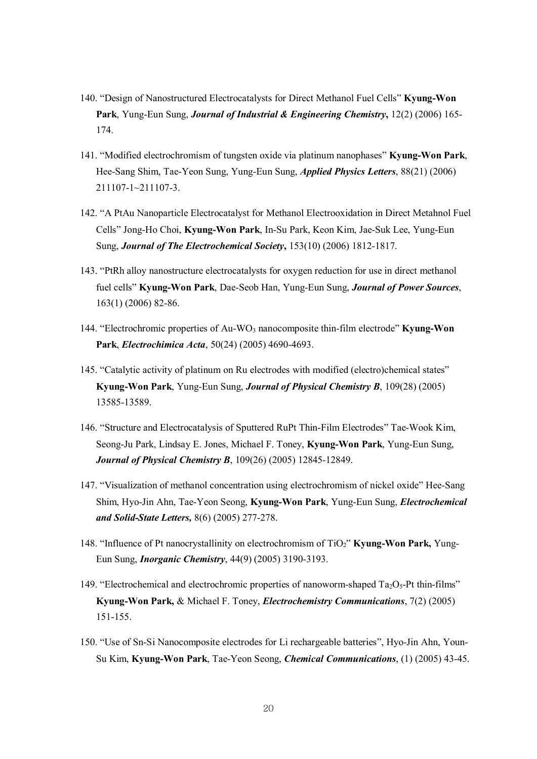- 140. "Design of Nanostructured Electrocatalysts for Direct Methanol Fuel Cells" **Kyung-Won Park**, Yung-Eun Sung, *Journal of Industrial & Engineering Chemistry***,** 12(2) (2006) 165- 174.
- 141. "Modified electrochromism of tungsten oxide via platinum nanophases" **Kyung-Won Park**, Hee-Sang Shim, Tae-Yeon Sung, Yung-Eun Sung, *Applied Physics Letters*, 88(21) (2006) 211107-1~211107-3.
- 142. "A PtAu Nanoparticle Electrocatalyst for Methanol Electrooxidation in Direct Metahnol Fuel Cells" Jong-Ho Choi, **Kyung-Won Park**, In-Su Park, Keon Kim, Jae-Suk Lee, Yung-Eun Sung, *Journal of The Electrochemical Society***,** 153(10) (2006) 1812-1817.
- 143. "PtRh alloy nanostructure electrocatalysts for oxygen reduction for use in direct methanol fuel cells" **Kyung-Won Park**, Dae-Seob Han, Yung-Eun Sung, *Journal of Power Sources*, 163(1) (2006) 82-86.
- 144. "Electrochromic properties of Au-WO<sup>3</sup> nanocomposite thin-film electrode" **Kyung-Won Park**, *Electrochimica Acta*, 50(24) (2005) 4690-4693.
- 145. "Catalytic activity of platinum on Ru electrodes with modified (electro)chemical states" **Kyung-Won Park**, Yung-Eun Sung, *Journal of Physical Chemistry B*, 109(28) (2005) 13585-13589.
- 146. "Structure and Electrocatalysis of Sputtered RuPt Thin-Film Electrodes" Tae-Wook Kim, Seong-Ju Park, Lindsay E. Jones, Michael F. Toney, **Kyung-Won Park**, Yung-Eun Sung, *Journal of Physical Chemistry B*, 109(26) (2005) 12845-12849.
- 147. "Visualization of methanol concentration using electrochromism of nickel oxide" Hee-Sang Shim, Hyo-Jin Ahn, Tae-Yeon Seong, **Kyung-Won Park**, Yung-Eun Sung, *Electrochemical and Solid-State Letters,* 8(6) (2005) 277-278.
- 148. "Influence of Pt nanocrystallinity on electrochromism of TiO2" **Kyung-Won Park,** Yung-Eun Sung, *Inorganic Chemistry*, 44(9) (2005) 3190-3193.
- 149. "Electrochemical and electrochromic properties of nanoworm-shaped  $Ta_2O_5$ -Pt thin-films" **Kyung-Won Park,** & Michael F. Toney, *Electrochemistry Communications*, 7(2) (2005) 151-155.
- 150. "Use of Sn-Si Nanocomposite electrodes for Li rechargeable batteries", Hyo-Jin Ahn, Youn-Su Kim, **Kyung-Won Park**, Tae-Yeon Seong, *Chemical Communications*, (1) (2005) 43-45.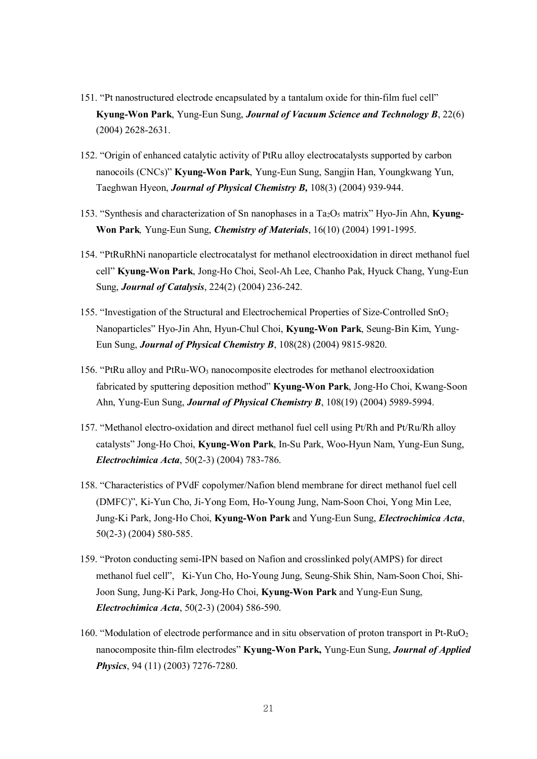- 151. "Pt nanostructured electrode encapsulated by a tantalum oxide for thin-film fuel cell" **Kyung-Won Park**, Yung-Eun Sung, *Journal of Vacuum Science and Technology B*, 22(6) (2004) 2628-2631.
- 152. "Origin of enhanced catalytic activity of PtRu alloy electrocatalysts supported by carbon nanocoils (CNCs)" **Kyung-Won Park**, Yung-Eun Sung, Sangjin Han, Youngkwang Yun, Taeghwan Hyeon, *Journal of Physical Chemistry B,* 108(3) (2004) 939-944.
- 153. "Synthesis and characterization of Sn nanophases in a Ta2O<sup>5</sup> matrix" Hyo-Jin Ahn, **Kyung-Won Park***,* Yung-Eun Sung, *Chemistry of Materials*, 16(10) (2004) 1991-1995.
- 154. "PtRuRhNi nanoparticle electrocatalyst for methanol electrooxidation in direct methanol fuel cell" **Kyung-Won Park**, Jong-Ho Choi, Seol-Ah Lee, Chanho Pak, Hyuck Chang, Yung-Eun Sung, *Journal of Catalysis*, 224(2) (2004) 236-242.
- 155. "Investigation of the Structural and Electrochemical Properties of Size-Controlled SnO<sup>2</sup> Nanoparticles" Hyo-Jin Ahn, Hyun-Chul Choi, **Kyung-Won Park**, Seung-Bin Kim, Yung-Eun Sung, *Journal of Physical Chemistry B*, 108(28) (2004) 9815-9820.
- 156. "PtRu alloy and PtRu-WO<sub>3</sub> nanocomposite electrodes for methanol electrooxidation fabricated by sputtering deposition method" **Kyung-Won Park**, Jong-Ho Choi, Kwang-Soon Ahn, Yung-Eun Sung, *Journal of Physical Chemistry B*, 108(19) (2004) 5989-5994.
- 157. "Methanol electro-oxidation and direct methanol fuel cell using Pt/Rh and Pt/Ru/Rh alloy catalysts" Jong-Ho Choi, **Kyung-Won Park**, In-Su Park, Woo-Hyun Nam, Yung-Eun Sung, *Electrochimica Acta*, 50(2-3) (2004) 783-786.
- 158. "Characteristics of PVdF copolymer/Nafion blend membrane for direct methanol fuel cell (DMFC)", Ki-Yun Cho, Ji-Yong Eom, Ho-Young Jung, Nam-Soon Choi, Yong Min Lee, Jung-Ki Park, Jong-Ho Choi, **Kyung-Won Park** and Yung-Eun Sung, *Electrochimica Acta*, 50(2-3) (2004) 580-585.
- 159. "Proton conducting semi-IPN based on Nafion and crosslinked poly(AMPS) for direct methanol fuel cell", Ki-Yun Cho, Ho-Young Jung, Seung-Shik Shin, Nam-Soon Choi, Shi-Joon Sung, Jung-Ki Park, Jong-Ho Choi, **Kyung-Won Park** and Yung-Eun Sung, *Electrochimica Acta*, 50(2-3) (2004) 586-590.
- 160. "Modulation of electrode performance and in situ observation of proton transport in Pt-RuO<sub>2</sub> nanocomposite thin-film electrodes" **Kyung-Won Park,** Yung-Eun Sung, *Journal of Applied Physics*, 94 (11) (2003) 7276-7280.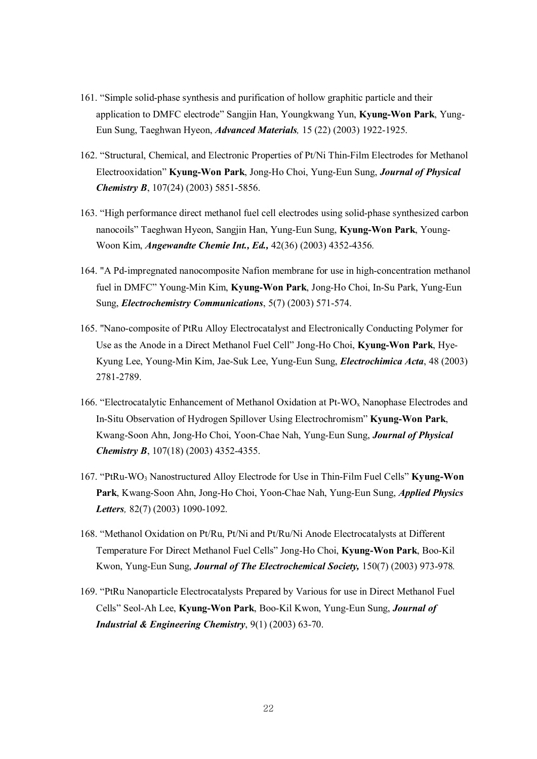- 161. "Simple solid-phase synthesis and purification of hollow graphitic particle and their application to DMFC electrode" Sangjin Han, Youngkwang Yun, **Kyung-Won Park**, Yung-Eun Sung, Taeghwan Hyeon, *Advanced Materials,* 15 (22) (2003) 1922-1925.
- 162. "Structural, Chemical, and Electronic Properties of Pt/Ni Thin-Film Electrodes for Methanol Electrooxidation" **Kyung-Won Park**, Jong-Ho Choi, Yung-Eun Sung, *Journal of Physical Chemistry B*, 107(24) (2003) 5851-5856.
- 163. "High performance direct methanol fuel cell electrodes using solid-phase synthesized carbon nanocoils" Taeghwan Hyeon, Sangjin Han, Yung-Eun Sung, **Kyung-Won Park**, Young-Woon Kim, *Angewandte Chemie Int., Ed.,* 42(36) (2003) 4352-4356*.*
- 164. "A Pd-impregnated nanocomposite Nafion membrane for use in high-concentration methanol fuel in DMFC" Young-Min Kim, **Kyung-Won Park**, Jong-Ho Choi, In-Su Park, Yung-Eun Sung, *Electrochemistry Communications*, 5(7) (2003) 571-574.
- 165. "Nano-composite of PtRu Alloy Electrocatalyst and Electronically Conducting Polymer for Use as the Anode in a Direct Methanol Fuel Cell" Jong-Ho Choi, **Kyung-Won Park**, Hye-Kyung Lee, Young-Min Kim, Jae-Suk Lee, Yung-Eun Sung, *Electrochimica Acta*, 48 (2003) 2781-2789.
- 166. "Electrocatalytic Enhancement of Methanol Oxidation at Pt-WO<sup>x</sup> Nanophase Electrodes and In-Situ Observation of Hydrogen Spillover Using Electrochromism" **Kyung-Won Park**, Kwang-Soon Ahn, Jong-Ho Choi, Yoon-Chae Nah, Yung-Eun Sung, *Journal of Physical Chemistry B*, 107(18) (2003) 4352-4355.
- 167. "PtRu-WO<sup>3</sup> Nanostructured Alloy Electrode for Use in Thin-Film Fuel Cells" **Kyung-Won Park**, Kwang-Soon Ahn, Jong-Ho Choi, Yoon-Chae Nah, Yung-Eun Sung, *Applied Physics Letters,* 82(7) (2003) 1090-1092.
- 168. "Methanol Oxidation on Pt/Ru, Pt/Ni and Pt/Ru/Ni Anode Electrocatalysts at Different Temperature For Direct Methanol Fuel Cells" Jong-Ho Choi, **Kyung-Won Park**, Boo-Kil Kwon, Yung-Eun Sung, *Journal of The Electrochemical Society,* 150(7) (2003) 973-978*.*
- 169. "PtRu Nanoparticle Electrocatalysts Prepared by Various for use in Direct Methanol Fuel Cells" Seol-Ah Lee, **Kyung-Won Park**, Boo-Kil Kwon, Yung-Eun Sung, *Journal of Industrial & Engineering Chemistry*, 9(1) (2003) 63-70.